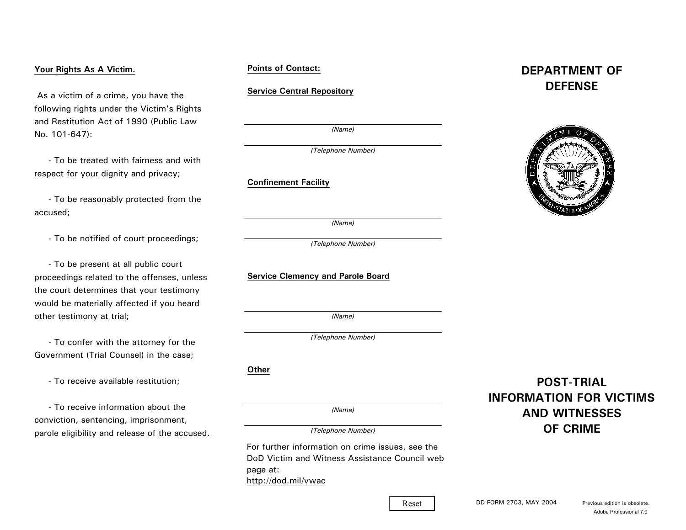# **Your Rights As A Victim.**

 As a victim of a crime, you have the following rights under the Victim's Rights and Restitution Act of 1990 (Public Law No. 101-647):

 - To be treated with fairness and withrespect for your dignity and privacy;

 - To be reasonably protected from the accused;

- To be notified of court proceedings;

 - To be present at all public court proceedings related to the offenses, unless the court determines that your testimony would be materially affected if you heard other testimony at trial;

 - To confer with the attorney for the Government (Trial Counsel) in the case;

- To receive available restitution;

 - To receive information about theconviction, sentencing, imprisonment, parole eligibility and release of the accused.

# **Points of Contact:**

# **Service Central Repository**

*(Name)*

*(Telephone Number)*

**Confinement Facility**

*(Name)*

*(Telephone Number)*

**Service Clemency and Parole Board**

*(Name)*

*(Telephone Number)*

**Other**

*(Name)*

*(Telephone Number)*

For further information on crime issues, see the DoD Victim and Witness Assistance Council webpage at: http://dod.mil/vwac

# **DEPARTMENT OFDEFENSE**



**POST-TRIALINFORMATION FOR VICTIMSAND WITNESSESOF CRIME**

Reset